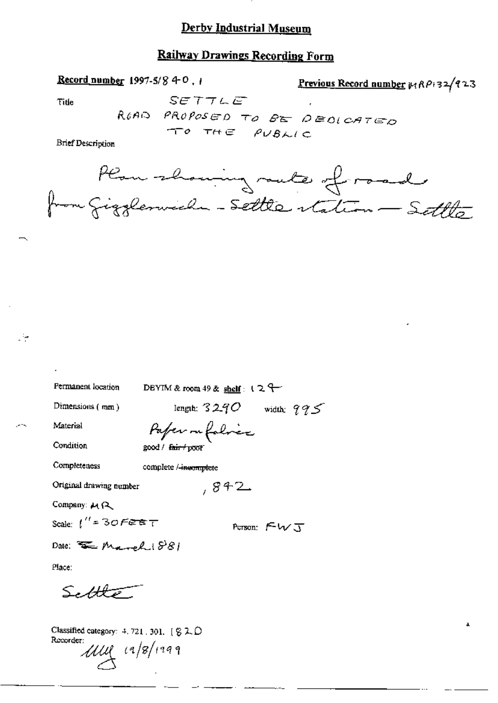### **Railway Drawings Recording Form**

Record number 1997-5/8 4-0, 1

Previous Record number 14 RPi 32/923

Title

Lie.

 $SETTLE$ ROAD PROPOSED TO BE DEOLCATED TO THE PUBLIC

**Brief Description** 



| Permanent location                         | DBYIM & room 49 & shelf: $12$    |
|--------------------------------------------|----------------------------------|
| Dimensions (mm)                            | lengih: $3240\,$<br>width: $995$ |
| Material                                   | Pafer nefolice                   |
| Condition                                  | good / <del>fair / poo</del> r   |
| Completeness                               | complete /-incomplete            |
| Original drawing number                    | ,842                             |
| Company: 44 R                              |                                  |
| Scale: $t'' = 30$ Fere $\tau$              | Person: $FwJ$                    |
| Date: $\overline{\mathcal{F}}$ Marsh $881$ |                                  |
| Place:                                     |                                  |
| Settlet $\overline{\mathscr{E}}$           |                                  |

Classified category: 4, 721, 301, [  $Z$  2, D Recorder:

 $1111 (18)1999$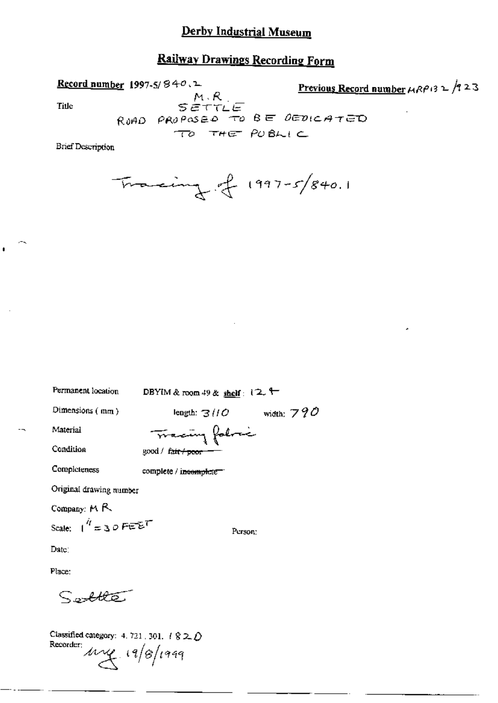## **Railway Drawings Recording Form**

Previous Record number  $\mu$ RP13  $\mu$  /9 23 Record number 1997-5/840.1  $SETLE$ **Title** RUAD PROPOSED TO BE DEDICATED TO THE PUBLIC **Brief Description** 

$$
\frac{1}{2}
$$
 1997-5/840.1

Permanent location DBYIM & room 49 & shelf:  $12.$ Dimensions (mm) length:  $3110$  width:  $790$ Tracing follow Material Condition good / fair / poor Completeness complete / incomplete " Original drawing number Company: MR Scale:  $1^{q}$  = 30 FEET Person: Date: Place:

 $S$ olle

Classified category: 4, 721, 301,  $\ell \otimes 2\ell$ Recorder  $\mu$   $(9/8)$ 1999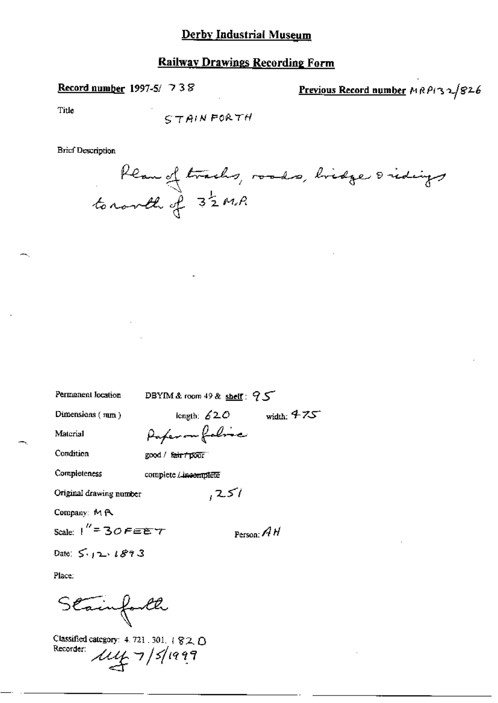### **Railway Drawings Recording Form**

Record number 1997-5/ 738

Previous Record number MRPI32/826

Title

$$
STAIN FORTH
$$

**Brief Description** 

Plan of tracks, roads, bridge oridings

| Permanent location        | DBYIM & room 49 & shelf: $95$    |
|---------------------------|----------------------------------|
| Dimensions $(mn)$         | width: $475$<br>length: $620$    |
| Material                  | Paper on folice                  |
| Condition                 | good / <del>fair / poo</del> r " |
| Completeness              | complete <i>Lineomplete</i>      |
| Original drawing number   | ا ک2,                            |
| Company: MR               |                                  |
| Scale: $1'' = 30$ FEE $T$ | Person: $AH$                     |
| Date: $5.12.1893$         |                                  |
| Place.                    |                                  |
| Stainforth                |                                  |

Classified category: 4.721.301. | 820<br>Recorder:  $\mu$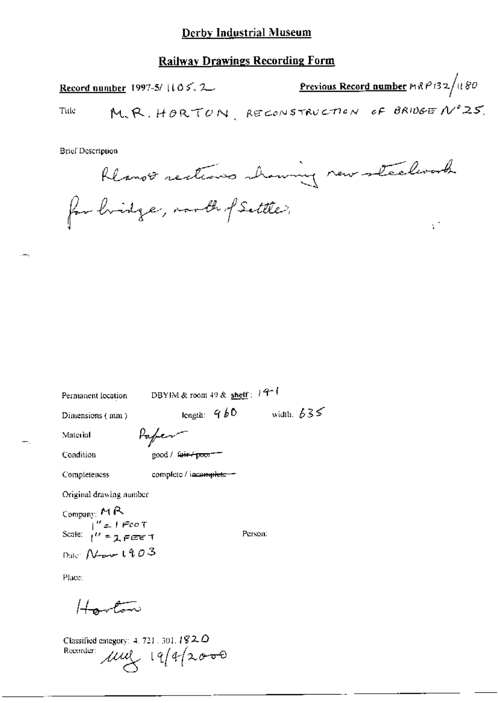#### **Railway Drawings Recording Form**

<u>Previous Record number</u> MRP132/1180 Record number 1997-5/ $105.2$ M.R. HORTON, RECONSTRUCTION OF BRIDGE Nº25. Title

**Brief Description** 

Rlanot rections whowing new steelwork

ψř

for hidge, north of Settle,

| Permanent location                               | DBYIM & room 49 & shelf : $44$ <sup>-1</sup> |              |
|--------------------------------------------------|----------------------------------------------|--------------|
| Dimensions (mm)                                  | length: $4b0$                                | width, $635$ |
| Material                                         | Hafen-                                       |              |
| Condition                                        | good / <del>fair / poor</del>                |              |
| Completeness                                     | complete / incomplete =                      |              |
| Original drawing number                          |                                              |              |
| Company: MR                                      |                                              |              |
| Scale: $1'' = 1$ Fee T<br>Scale: $1'' = 2$ FEE T |                                              | Person:      |
| Date: $N$ and $1903$                             |                                              |              |

Place:

بهشوهم يسعسلها

Classified category: 4, 721, 301,  $192.0$ Recorder:  $\mu$ ,  $\mu$ ,  $19/4$   $2000$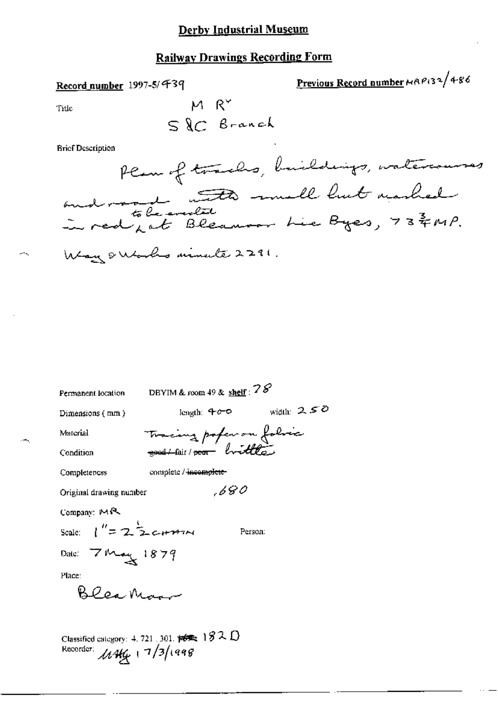# **Railway Drawings Recording Form**

### Record number 1997-5/439

Previous Record number MAP132/486

Title

$$
\begin{array}{c}\n M R^{\vee} \\
S \ & C \ & B\ \text{.} \n\end{array}
$$

**Brief Description** 

| Permanent location                  | DBYIM & room 49 & $\frac{\text{sheff}}{28}$ ?                                 |              |
|-------------------------------------|-------------------------------------------------------------------------------|--------------|
| Dimensions (mm)                     | length: 400                                                                   | width: $250$ |
| Material                            | Tracing pofer on folice                                                       |              |
| Condition                           |                                                                               |              |
| Completeness                        | complete / incomplete-                                                        |              |
| Original drawing number             | ,680                                                                          |              |
| Company: MR                         |                                                                               |              |
| Scale: $1'' = 2 \frac{1}{2}$ c+741M | Person:                                                                       |              |
| Date: 7 May 1879                    |                                                                               |              |
| Place:                              |                                                                               |              |
| blea Ma                             |                                                                               |              |
|                                     |                                                                               |              |
| Recorder: $\mu$ 1464 17/3/1998      | Classified category: 4, 721, 301, $\sharp \sharp \sharp \sharp_2$ 182, $\Box$ |              |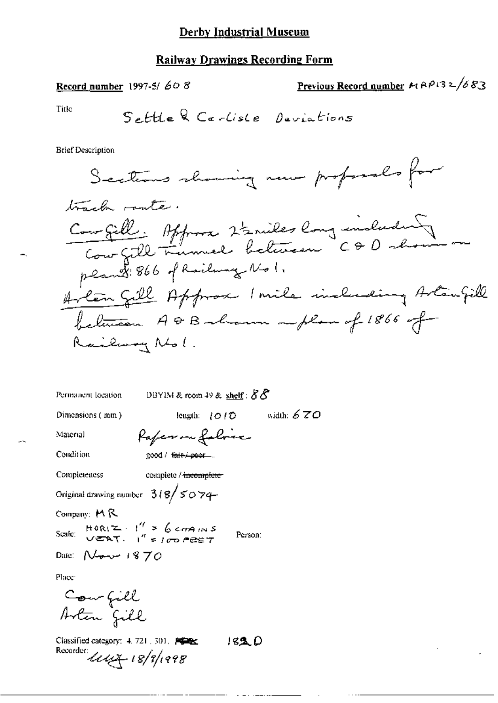Record number 1997-5/608

Previous Record number 
$$
P(32/683)
$$

Δ

Title

**Brief Description** 

DBYIM & room 49 & shelf :  $88$ Permanent location

Dimensions (mm)

length:  $(010$  width:  $670$ 

Material Condition Raferm folvice good / fair/poor...

Completeness

complete / incomplete-

Original drawing number  $318/5074$ 

Company: MR

 $HOR(Z - 1^{\prime\prime} > 6 cm)$   $MS$ <br> $VERT = 1^{\prime\prime} = 100$   $PREF$ Scale:

Person:

Date:  $N$ -o- $\vee$  1870

Place<sup>1</sup>

Counfiel<br>Arten fill

Classified category: 4, 721, 301, FOR  $1830$ Recorder:  $\mu \mu + i 8/i$ /1998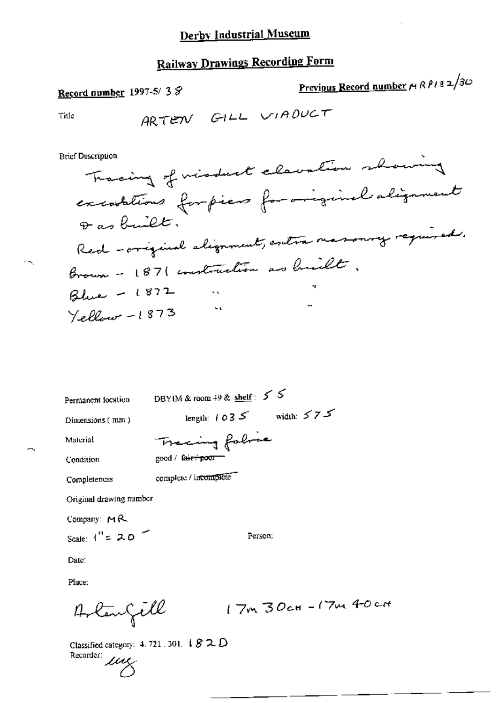Record number 1997-5/38

Previous Record number MRP132/30

 $c$ tt

جند

Title

ò,

**Brief Description** 

| Permanent location      | DBYIM & room 49 & shelf: $5\sqrt{5}$ |
|-------------------------|--------------------------------------|
| Dimensions (mm)         | width: $575$<br>length: $1035$       |
| Material                | Tracing folice                       |
| Condition               | good / fa <del>ir / poor =</del>     |
| Completeness            | complete / incomplete                |
| Original drawing number |                                      |
| Company: $M_{\rm H}$    |                                      |
| Scale: $1'' = 20$       | Person.                              |

Date:

Place:

Classified category: 4, 721 , 301,  $\downarrow$   $\mathcal{G} \supset \hspace{-0.2em} \bigcirc$   $\mathcal{O}$ Classing  $\mu$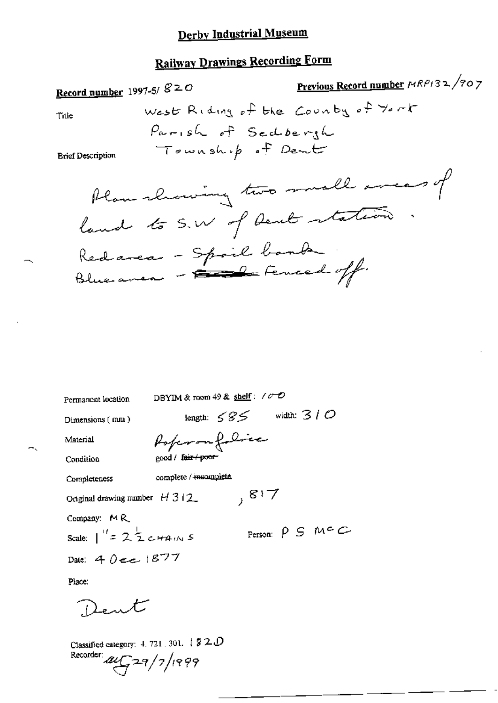# **Railway Drawings Recording Form**

Previous Record number MRP132/907 Record number 1997-5/ $g \geq 0$ West Riding of the Country of York Title Parish of Seddergh Township of Dent **Brief Description** Plan showing two small areas of land to S.W of Dent station Redarea - Spail banda

DBYIM & room 49 & shelf:  $\sqrt{C}$ Permanent location length:  $585$  width:  $310$ 

Dimensions (mm)

Material

Poperonfolice <sub>200</sub>d / f<del>air / poor</del>

Condition

Completeness

complete / incomplete

Original drawing number  $H 312$ 

Company: MR

Person:  $\rho$   $\vdash$   $m \in \mathbb{C}$ Scale:  $1'' = 2\frac{1}{2}$  c  $\#A_{1}$  is

 $, 817$ 

Date: 4 Dee 1877

Place:

Dent

Classified category: 4, 721, 301,  $\downarrow$   $\cancel{3}$  2.0

Recorder  $\mu$  $\sqrt{77}/7/1999$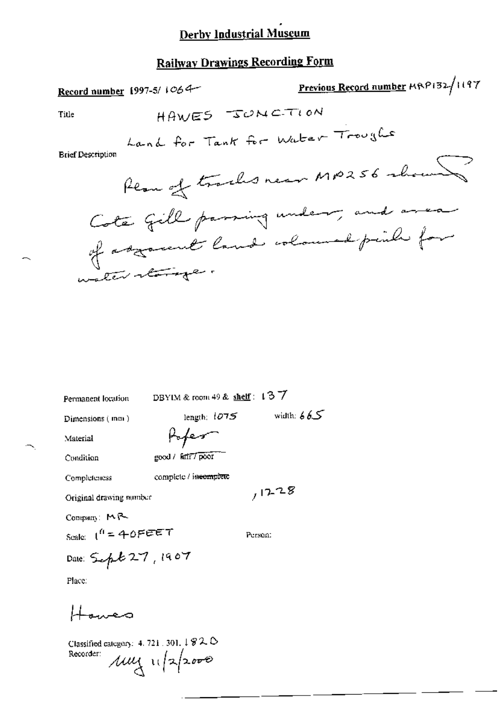### **Railway Drawings Recording Form**

| AMMINIST PLATING                                                    |                                    |
|---------------------------------------------------------------------|------------------------------------|
| Record number 1997-5/ $1064$                                        | Previous Record number MRP132/1197 |
| HAWES SONCTION<br>Title                                             |                                    |
| Land for Tank for Water Troughs<br><b>Brief Description</b>         |                                    |
|                                                                     | Rear of tracks near MP256 whous    |
| Cote fill passing under , and<br>of asymmet land coloured puile for |                                    |
| water tong                                                          |                                    |
|                                                                     |                                    |
|                                                                     |                                    |
|                                                                     |                                    |
| DBYIM & room 49 & $shelf$ : 137<br>Permanent location               |                                    |
| length: $1075$<br>Dimensions (mm)                                   | width: $665$                       |
| Poper<br>Material                                                   |                                    |
| good / fair / poor<br>Condition                                     |                                    |
| complete / incomplete<br>Completeness                               |                                    |
| 1228<br>Original drawing number                                     |                                    |
| Company: $M_{\rm B}$                                                |                                    |
| Person:                                                             |                                    |
| Scale: $1^6$ = 40FEET<br>Date: Sup & 27, 1907                       |                                    |
| Place:                                                              |                                    |

Howes

Classified category: 4.721.301.1820<br>Recorder:  $\mu$ <br> $\mu$ <br> $\frac{1}{2}$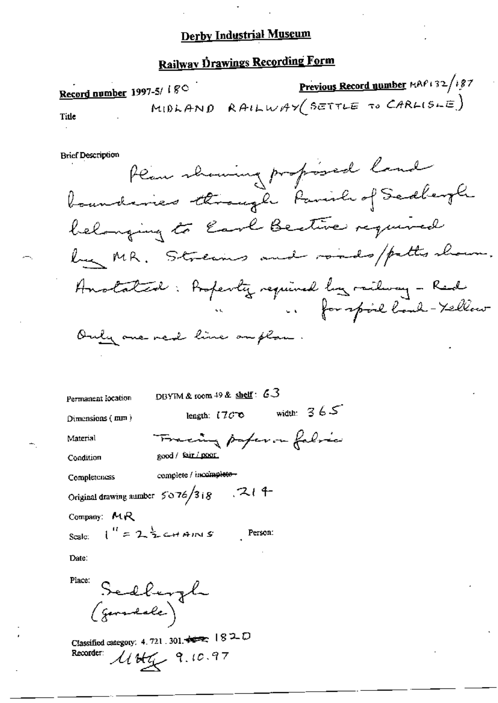# Railway Drawings Recording Form

Previous Record number MAP132/187 Record number 1997-5/ 180 MIDLAND RAILWAY (SETTLE TO CARLISLE) Title

**Brief Description** 

Permanent location

DBYIM & room 49 & shelf: 63

Dimensions (mm)

length:  $170^\circ$  width:  $365^\circ$ 

Person:

Material Condition

Fracing paperon fabric good / fair / poor.

complete / incomplete-Completeness

 $1^{\prime\prime}$  = 2  $\frac{1}{2}$  cHAINS

Original drawing number  $5076/318$  . 21 4

Company: MR

Scale:

Date:

Place: Sedburgh

Classified category: 4.721.301. Recorder:  $4446.97$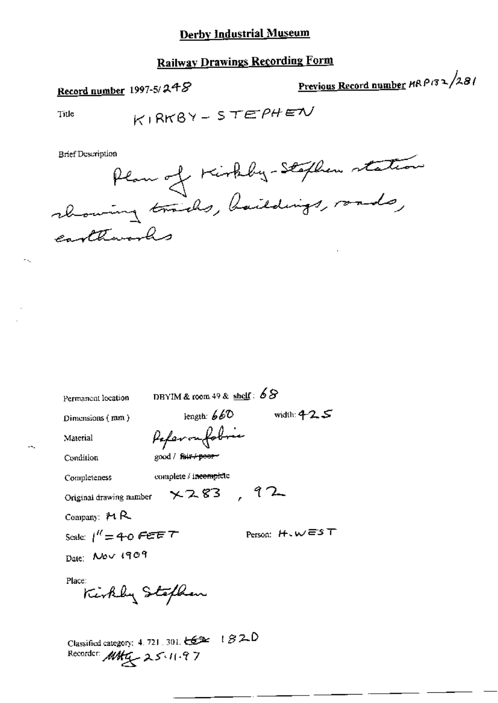### **Railway Drawings Recording Form**

## Record number 1997-5/248

Previous Record number HRP132/281

Title

$$
K1RRBY - STEPHEV
$$

**Brief Description** 



Permanent location

DBYIM & room 49 & shelf:  $68$ 

Dimensions (mm)

length:  $660$  width:  $425$ Paperonfobric

Condition

Material

good / fair+peer-

Completeness

complete / incomplete

Original drawing number  $\times$  2.83, 92

Company:  $H R$ 

Scale:  $1'' = 40$  FEET

Person:  $H \cdot W \equiv S T$ 

Date: Nov 1909

Place:

Kirkly Stefhan

Classified category: 4, 721, 301,  $\xi$   $\xi$   $\approx$  1  $\beta$  2.0 Recorder MAG 25.11.97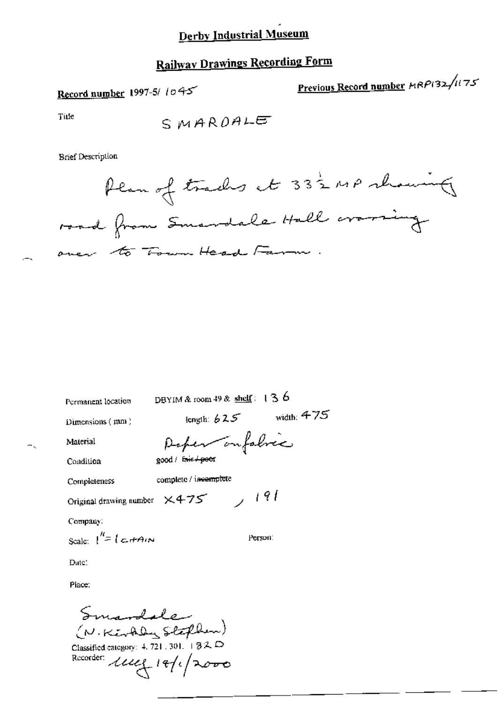# **Railway Drawings Recording Form**

Record number 1997-5/1045

Previous Record number HRP132/1175

Title

SMARDALE

**Brief Description** 

Plan of tracks at 332 MP showing road from Smandale Hall craming over to Town Head Farm

Permanent location

DBYIM & room 49 & shelf:  $136$ 

Dimensions  $(mn)$ 

length:  $625$  width:  $475$ 

Person:

Material

Poper on fabric good / fair / peer

Condition

Completeness

complete / incomplete

Original drawing number  $\times$  4-75  $\rightarrow$  191

Company:

Scale:  $\int^{\prime\prime} = \int \mathcal{L} dA \cdot \mathcal{N}$ 

Date:

Place:

Smandale (N.KETAly Stephen)

Classified category: 4, 721, 301,  $\frac{1}{2}$  (3) 2,  $\Box$ Recorder: luce 18/1/2000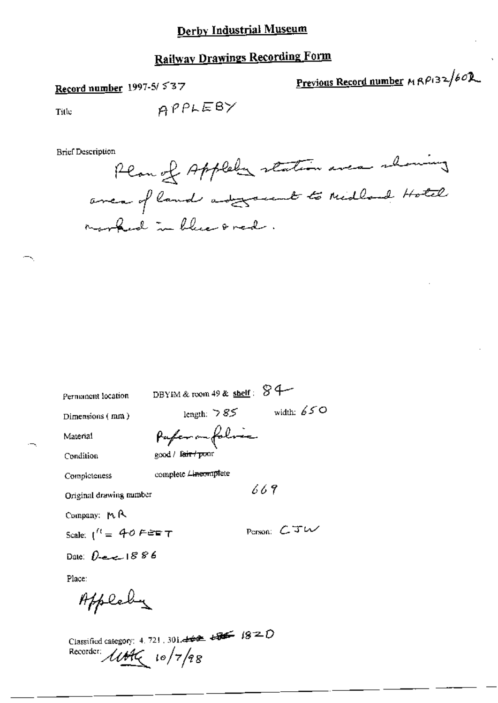# **Railway Drawings Recording Form**

Record number 1997-5/537

Previous Record number  $MRPB2/60R$ 

Title

 $\overline{\phantom{a}}$ 

APPLEBY

**Brief Description** 

| Permanent location                  | DBYIM & room 49 & shelf: $\Im$ 4 |               |
|-------------------------------------|----------------------------------|---------------|
| Dimensions (mm)                     | length: $585$                    | width: $650$  |
| Material                            | Pafer on folice                  |               |
| Condition                           | good / f <del>air / po</del> or  |               |
| Completeness                        | complete Lineomplete             |               |
| Original drawing number             | 669                              |               |
| Company: MR                         |                                  |               |
| Scale: $1^{\prime\prime} = 40$ FEET |                                  | Person: $CTW$ |
| Date: $D$ -e-c- $1886$              |                                  |               |
| Place:                              |                                  |               |
| Applet                              |                                  |               |

Classified category: 4, 721, 301.444  $\overline{48}$   $\overline{48}$   $\overline{18}$   $\overline{2}$   $\overline{0}$ Recorder: *libte* 10/7/98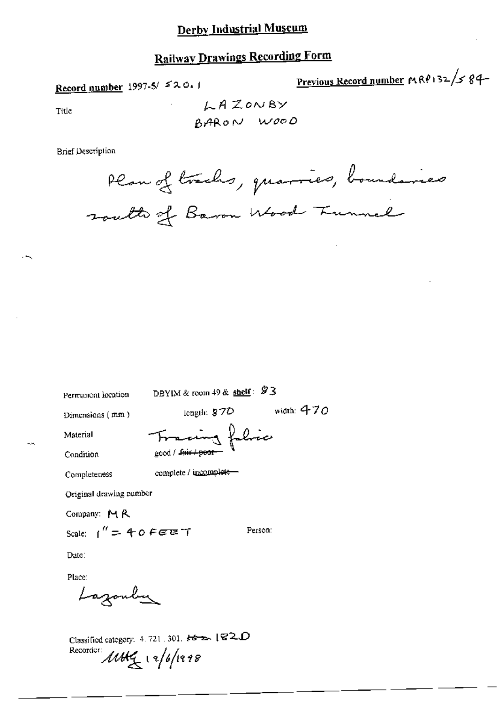# **Railway Drawings Recording Form**

Record number 1997-5/520.1

Previous Record number MRP132/584-

Title

**Brief Description** 

Plan of trachs, quarries, boundaries south of Baron Wood Tunnel

Permanent location

DBYIM & room 49 & shelf:  $93$ 

Dimensions (mm)

length:  $$70$  width:  $470$ 

Person:

folice

Material Condition

$$
f^{\text{total}} = \frac{1}{2}
$$

Completeness

complete / uncomplete-

Original drawing number

Company: MR

Scale:  $1'' = 40$  FEET

Date:

Place:

Lazonbu

Classified category:  $4.721$ ,  $301$ ,  $k3$   $\rightarrow$  [C2, D Recorder: 11Hg 12/6/1998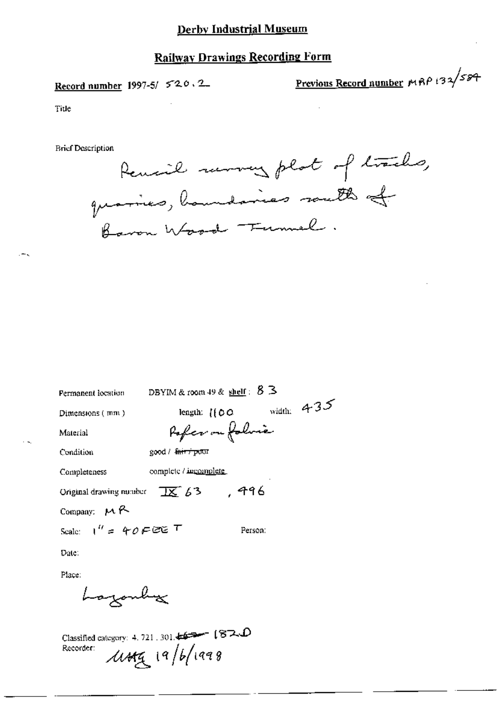## **Railway Drawings Recording Form**

Record number 1997-5/ 520.2

Previous Record number MRP 132/584

Title

**Brief Description** 

Remail morning plat of tracks, quaries, houndaries south of Baron Wood Funnel.

| Permanent location                | DBYIM & room 49 & shelf: $5 \leq$ |                  |              |
|-----------------------------------|-----------------------------------|------------------|--------------|
| Dimensions ( mm )                 | length: $\{ \{ \emptyset \}$      |                  | width: $435$ |
| Material                          |                                   | Pofer ou folorie |              |
| Condition                         | good / fair / poor                |                  |              |
| Completeness                      | complete / incomplete             |                  |              |
| Original drawing number           | $\frac{1}{16}$ 63, $\frac{1}{16}$ |                  |              |
| Company: $M$ R                    |                                   |                  |              |
| Scale: $1'' = 40 F \mathfrak{CE}$ |                                   | Person:          |              |
| Date:                             |                                   |                  |              |
| Place:                            |                                   |                  |              |
| hogonh                            |                                   |                  |              |

Classified category: 4, 721, 301,  $\sqrt{2}$  (87.  $\Omega$  $\mu$ ug 19/6/1998 Recorder: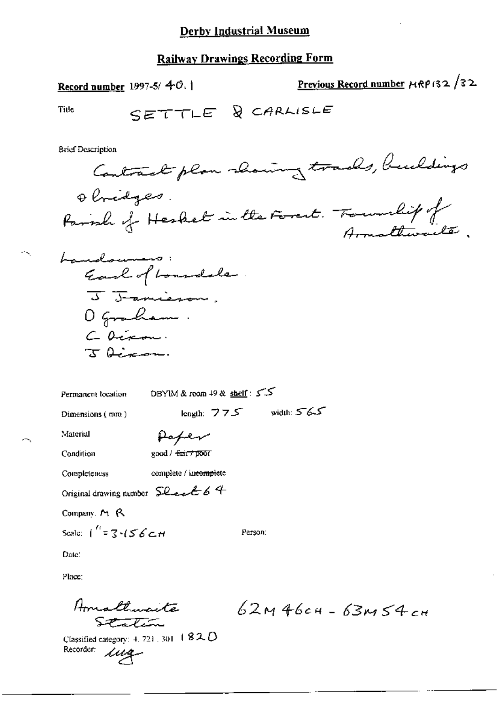Record number  $1997-5/40.1$ 

Previous Record number  $\mu$ RP132/32

Title

SETTLE & CARLISLE

**Brief Description** 

Contract plan showing trades, buildings Obridges. Parroll of Hesket in the Forest. Foundity of Armattiwalter.

Person:



DBYIM & room  $+9$  & shelf:  $55$ Permanent location length:  $775$  width:  $565$ Dimensions (mm) Material Paper good / fair / poor Condition

Completeness complete / incomplete

Original drawing number  $\mathsf{S}\mathcal{L}$  and  $\mathcal{L}$  6 4

Company, M. R.

Scale:  $\int_{0}^{t} z \cdot 7 \cdot (56 \cdot t) dt$ 

Date:

Place:

Amaltimenta Station

 $62M46c4 - 63M54c$ 

Classified category: 4, 721, 301,  $1820$ Recorder: una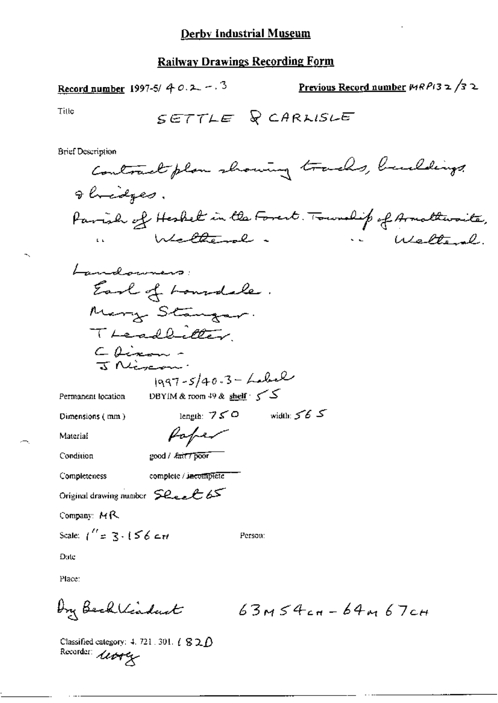Record number 1997-5/ 4 0.2 -. 3 Previous Record number  $WRP(32/32)$ Title SETTLE & CARLISLE **Brief Description** Contract plan showing tracks, buildings gloridges. Parish of Heskel in the Forest. Township of Armathwaite, Welterly. in Walter **Exhibition** in the second Landowners: Earl of Loundale. Mary Stanger. Treadbilter Chinan - $1997 - 5/40.3 - Lubel$ DBYIM & room 49 & shelf - 5 Permanent location length:  $750$  width:  $565$ Dimensions (mm) Poper Material good / *kait* / poor Condition Completeness complete / incomplete Original drawing number Sheel 65 Company: MR Scale:  $1'' = 3.156$  ctd Person: Date Place: by Becklindart  $63M54c+64M67c+$ Classified category: 4, 721, 301,  $\ell \otimes 2D$ 

Recorder: 11049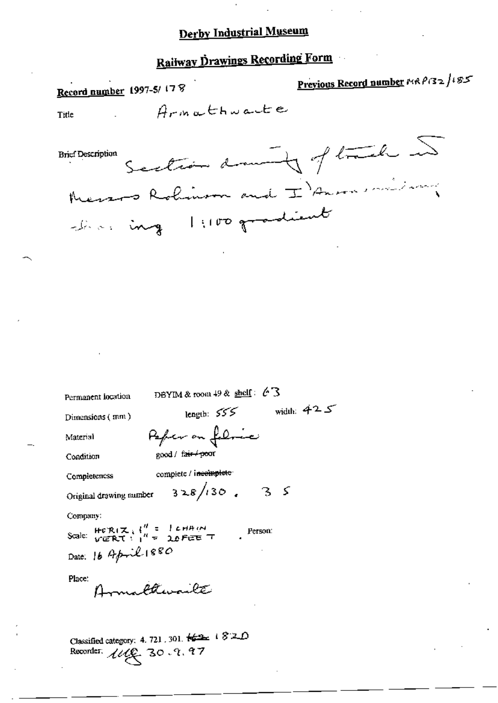# Railway Drawings Recording Form

Previous Record number MRP132/185 Record number 1997-5/178 Armathuarte Title Section damnity of track in **Brief Description** Messos Robinson and I Answershipson chas ing 1:100 gradient DBYIM & room  $49$  & shelf:  $63$ Permanent location length:  $555$  width:  $425$ Dimensions  $(mn)$ Pefer on felice Material good / fair / poor Condition complete / incomplete Completeness  $328/130.35$ Original drawing number Company: Scale:  $H \circ R(\mathcal{K}) = \begin{cases} d & = 1 \text{ cm} \mu/\mu \\ \text{V} \in RT \times 1^H = 2.0 \text{ F} \in E \end{cases}$ Person: Date: 16 April 1880 Place: rafthewailte Classified category: 4, 721, 301,  $\frac{1}{2}$  +  $\frac{2}{3}$  = 0

Recorder.  $III$  30.9.97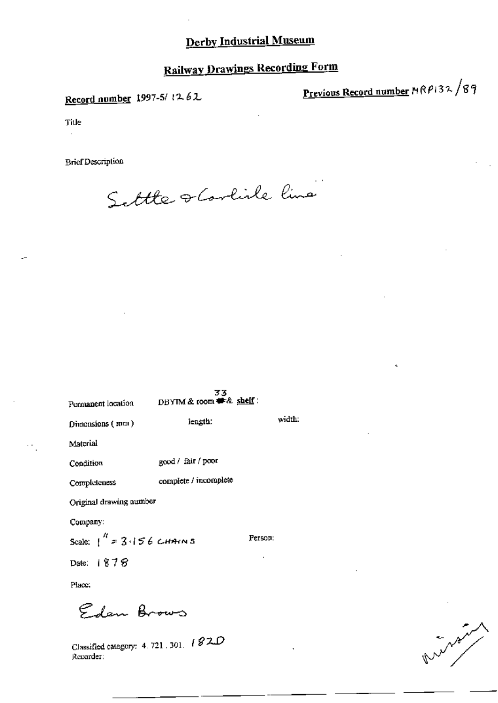# **Railway Drawings Recording Form**

Record number 1997-5/1262

Previous Record number MRP132/89

Title  $\ddot{\phantom{a}}$ 

**Brief Description** 

Settle scorline line

| Permanent location               | 33<br>DBYIM & room # & shelf: |         |
|----------------------------------|-------------------------------|---------|
| Dimensions (mm)                  | length:                       | width.  |
| Material                         |                               |         |
| Condition                        | good / fair / poor            |         |
| Completeness                     | complete / incomplete         |         |
| Original drawing number          |                               |         |
| Company:                         |                               |         |
| Scale: $\int_0^R$ = 3.156 CHAINS |                               | Person: |
| Date: 1878                       |                               |         |
| Place.                           |                               |         |

Eden Brows

Classified category: 4, 721, 301, 182D Recorder: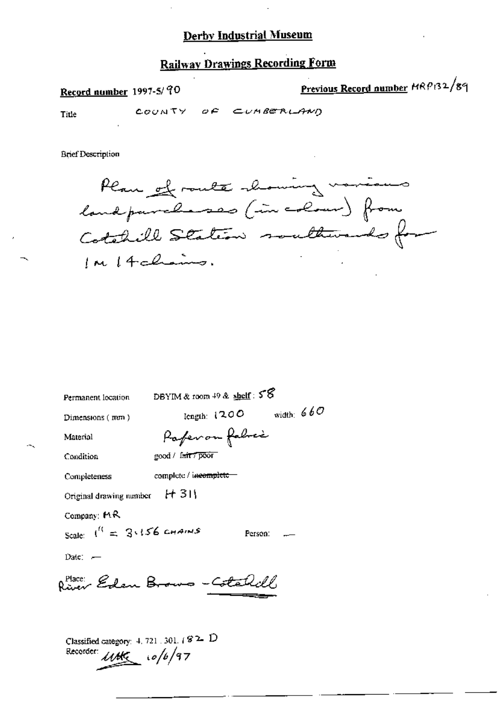### **Railway Drawings Recording Form**

Record number 1997-5/90

Previous Record number MRP132/89

Title

COUNTY OF CUMBERLAND

**Brief Description** 

Plan of route chowing various landpareherses (in colour) from Cotabill Station southwards for

| Permanent location                                     | DBYIM & room $49$ & $\frac{\text{shelf}}{2}$ : $55$ |  |
|--------------------------------------------------------|-----------------------------------------------------|--|
| Dimensions $(mm)$                                      | width: $660$<br>length: $1200$                      |  |
| Material                                               | Paperon fabric                                      |  |
| Condition                                              | good / f <del>air 7 poor</del>                      |  |
| Completeness                                           | complete / i <del>ncomplete =</del>                 |  |
| Original drawing number #1311                          |                                                     |  |
| Company: $AR$                                          |                                                     |  |
| Scale: $I^{\prime\prime} = 3.156$ chains               | Person:                                             |  |
| Date: $-$                                              |                                                     |  |
| p <sup>place:</sup> Eden Brows - Cotal                 |                                                     |  |
| Classified category: 4, 721, 301, $/$ 8 $\sim$ $\rm D$ |                                                     |  |

Recorder *WHG* 10/6/97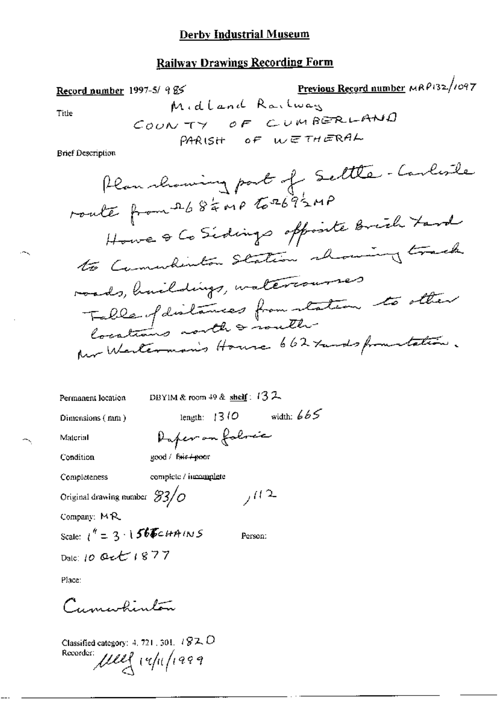### **Railway Drawings Recording Form**

| Record number     | 1997-5/ 9%                     | Previous Record number                | MR9132/1097 |
|-------------------|--------------------------------|---------------------------------------|-------------|
| Title             | $C_{\text{QUN-TV}} = \sigma F$ | $C_{\text{UM-PS}} = C_{\text{UM-PS}}$ |             |
| Brief Description | PAR1SH = \sigma F              | $W \in TH \in \text{RAL}$             |             |

Permanent location

DBYIM & room 49 & shelf:  $132$ 

Daper on folmic

Dimensions (mm)

length:  $1310$  width:  $665$ 

 $702$ 

Person:

Material

Condition

Completeness

complete / incomplete

good / fair / poor

Original drawing number  $3/6$ 

Company: MR

Scale:  $1^4 = 3.156$ FCHAINS Dalc: 10 Oct 1877

Place:

Cumwhinton

Classified category: 4, 721, 301,  $\sqrt{82}$ ,  $O$ Recorder Ulle 14/11/1999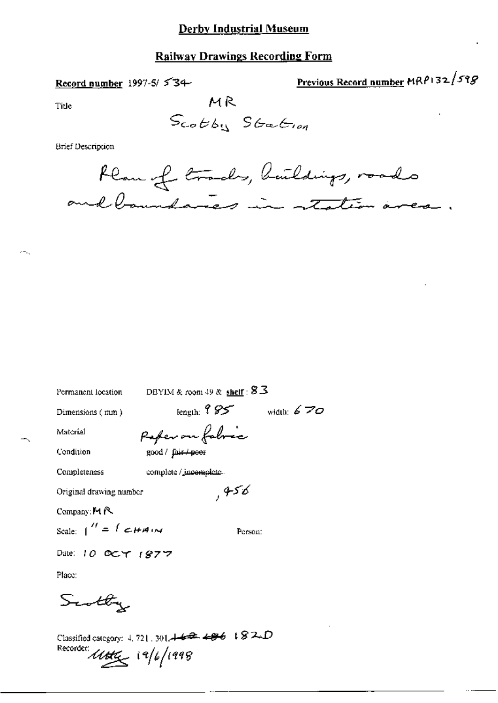#### **Railway Drawings Recording Form**

#### Record number 1997-5/ $534$

Previous Record number MRP132/598

Title

МR Scotby Stration

**Brief Description** 



DBYIM & room 49 & shelf :  $8.3$ Permanent location length:  $95$  width:  $670$ Dimensions (mm) Paper on fabric Material good / fair / poor Condition Completeness complete / jncomplete. ,456 Original drawing number Company: M R Scale:  $\int'' = \int cH A \, dx$ Person: Date: 10 OCT 1877 Place: Scotty

Classified category: 4, 721, 301.442.486 +82.D Recorder:  $\mu$ tta  $(9/6/1998)$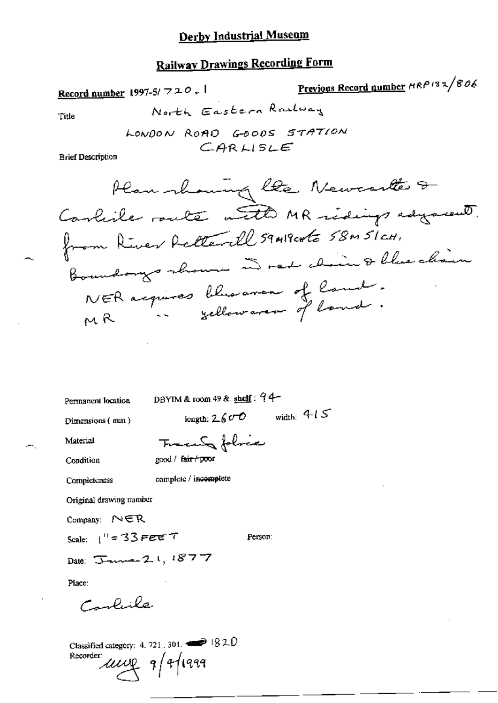# **Railway Drawings Recording Form**

Previous Record number HRP132/806 Record number 1997-5/720.1 North Eastern Railway Title LONDON ROAD GOODS STATION  $CARLISE$ **Brief Description** Plan showing like Newcastles & Conlide route with MR ridings adjourned. from River Rollerell 59419cmto 58m 5/cm. Boundarys channe a red claim & blue clisin NER acquires blus avenu of land. DBYIM & room 49 & shelf: 94-Permanent location length:  $2600$  width:  $415$ Dimensions (mm) Tracente folice Material good / fair+poor Condition complete / incomplete Completeness Original drawing number Company: NER Scale:  $1'' = 33$  PEET Person: Date: January 2, 1, 1877 Place: حلنيلمس

Classified category: 4, 721, 301,  $\rightarrow$  1820 Recorder:  $\mu\mu$ q q/t/1999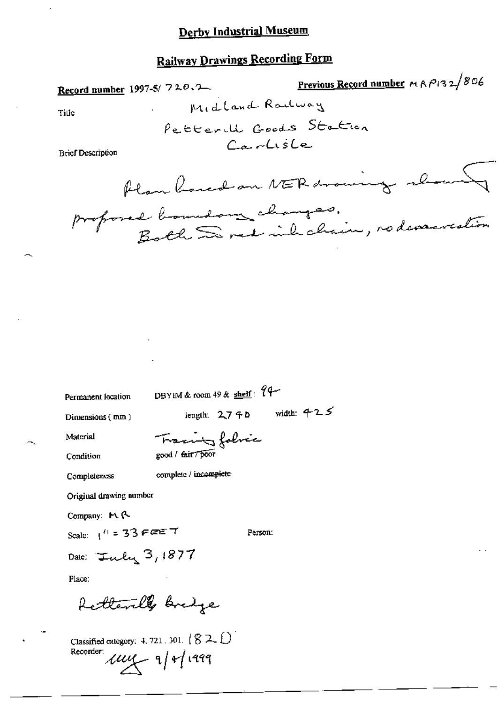# **Railway Drawings Recording Form**

| Record number | 1997-5/720.2 | Previous Record number | AA           |             |
|---------------|--------------|------------------------|--------------|-------------|
| Title         |              | $p_{e}$ ttext          | $\beta$ oods | $St_{e}$    |
| P_{e}         |              | $\beta$ end            | $\beta$ ods  | $\beta$ end |

Previous Record number  $M \wedge P$ 132/806

**Brief Description** 

Title

Permanent location

DBYIM & room 49 & shelf: 94

Dimensions (mm)

length:  $2740$  width:  $425$ 

Person:

Material

complete / incomplete

Condition

good / fair / poor

Completeness

Original drawing number

Company: M. (2

Scale:  $1^{11} = 33$  Fee T

Date: Inly 3, 1877

Place:

Retterille bredge

Classified category: 4, 721, 301,  $(82.1)$ Recorder  $\mu\mu$  9/1/1999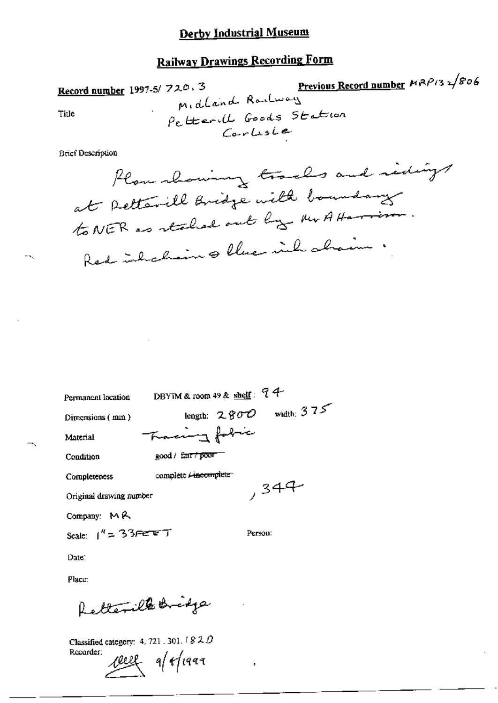# **Railway Drawings Recording Form**

Record number 1997-5/720.3  
\n
$$
\rho_{e}t_{\text{t}+1}
$$
\n
$$
\rho_{e}t_{\text{t}+1}
$$
\n
$$
\rho_{e}t_{\text{t}+1}
$$
\n
$$
\rho_{e}t_{\text{t}+1}
$$
\n
$$
\rho_{e}t_{\text{t}+1}
$$
\n
$$
\rho_{e}t_{\text{t}+1}
$$
\n
$$
\rho_{e}t_{\text{t}+1}
$$
\n
$$
\rho_{e}t_{\text{t}+1}
$$
\n
$$
\rho_{e}t_{\text{t}+1}
$$
\n
$$
\rho_{e}t_{\text{t}+1}
$$
\n
$$
\rho_{e}t_{\text{t}+1}
$$
\n
$$
\rho_{e}t_{\text{t}+1}
$$
\n
$$
\rho_{e}t_{\text{t}+1}
$$
\n
$$
\rho_{e}t_{\text{t}+1}
$$
\n
$$
\rho_{e}t_{\text{t}+1}
$$
\n
$$
\rho_{e}t_{\text{t}+1}
$$
\n
$$
\rho_{e}t_{\text{t}+1}
$$
\n
$$
\rho_{e}t_{\text{t}+1}
$$
\n
$$
\rho_{e}t_{\text{t}+1}
$$
\n
$$
\rho_{e}t_{\text{t}+1}
$$
\n
$$
\rho_{e}t_{\text{t}+1}
$$
\n
$$
\rho_{e}t_{\text{t}+1}
$$
\n
$$
\rho_{e}t_{\text{t}+1}
$$
\n
$$
\rho_{e}t_{\text{t}+1}
$$
\n
$$
\rho_{e}t_{\text{t}+1}
$$
\n
$$
\rho_{e}t_{\text{t}+1}
$$
\n
$$
\rho_{e}t_{\text{t}+1}
$$
\n
$$
\rho_{e}t_{\text{t}+1}
$$
\n
$$
\rho_{e}t_{\text{t}+1}
$$
\n
$$
\rho_{e}t_{\text{t}+1}
$$
\n
$$
\rho_{e}t_{\text{t}+1}
$$
\n
$$
\rho_{e}t_{\text{t}+1}
$$
\n
$$
\
$$

**Brief Description** 

 $-$ 

Permanent location

DBYIM & room 49 & shelf:  $74$ length:  $2800$  width:  $375$ 

Dimensions (mm)

I former France

Condition

Material

good / fair / poor

complete <del>Lincomplete</del>

Completeness

 $,344$ 

Original drawing number

Company: MR

Scale:  $1^k = 33$ Fereri

Person:

Date:

Place:

Retterille Bridge

Classified category: 4, 721 , 301, 1 $8$   $2$   $\bar{D}$ Recorder:

cell a/r/1999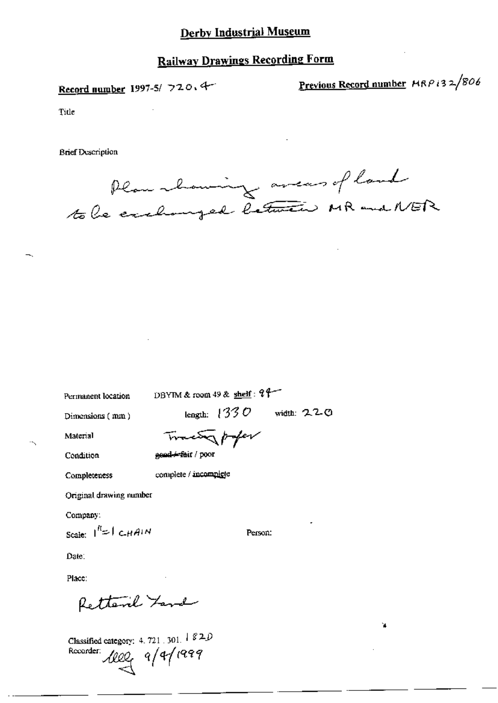## **Railway Drawings Recording Form**

Record number 1997-5/ 720, 4

Previous Record number MRP i32/806

'n.

Title

**Brief Description** 

Plan howing averes of land to be exchanged between MR and NER

Permanent location

DBYIM & room 49 & shelf: 24

Dimensions (mm)

length:  $1330$  width: 220

Person:

Material Condition

Tracty poper gend + fait / poor

Completeness

complete / incomplete

Original drawing number

Company:

Scale:  $|^{n}$ = | CHAIN

Date:

Place:

Retterne Yard

Classified category: 4, 721, 301,  $\frac{1}{2}$  82.0 Recorder:  $\text{100}$   $9/9/1999$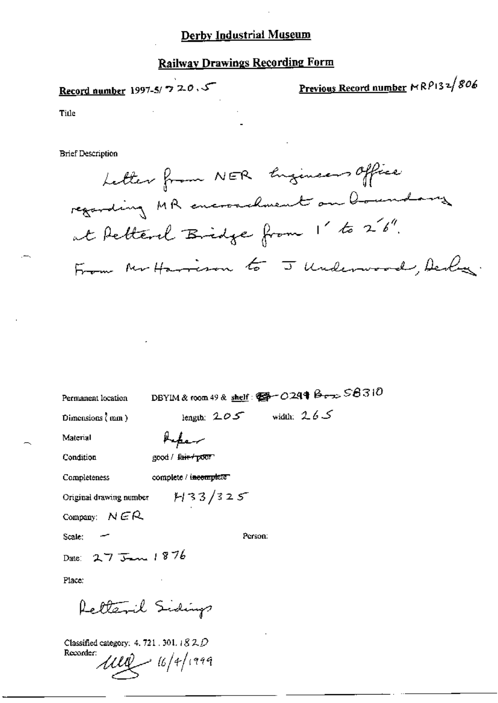### **Railway Drawings Recording Form**

Record number 1997-5/ 7 20, 5

Previous Record number MRP132/806

Title

**Brief Description** 

Letter from NER Engineers Office regarding MR encroachment on boundary at Retternl Bridge from 1' to 26". From Mr Harrison to J Underwood, Derbez

DBYIM & foom 49 & shelf: @ - 0244 Berx S8310 Permanent location length:  $205$  width:  $265$ Dimensions  $\langle$  mm $\rangle$ Material Kapar Condition good / fair poor complete / incomplete Completeness  $1133/325$ Original drawing number Company:  $NER$ Scale: Person:  $275$ m  $1876$ Date: Place: Retteril Sidings

Classified category: 4. 721 . 301.  $182D$ Recorder:

 $1110 - 16/4/1999$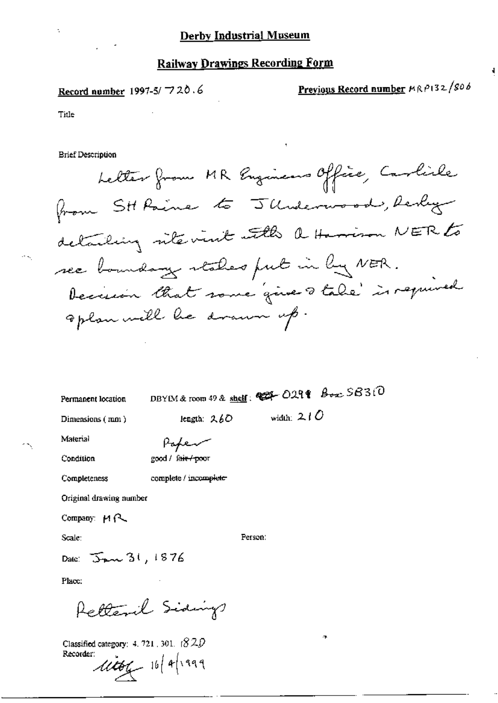Record number 1997-5/720.6

Previous Record number MRP132/806

ł,

Title

**Brief Description** 

Letter from MR Engineers Office, Carlile from SH Paine to JUnderwood, Realiz detailing rite visit with a Harrison NER to see boundary stakes fut in by NER. Decision that some gives take is required aplan will be drawn up.

Permanent location

DBYIM & room 49 & shelf:  $\otimes$   $\otimes$  029 $\otimes$   $\otimes$   $\otimes$  5 $\otimes$  3:0

Person:

Dimensions (mm)

length: 260

width:  $210$ 

Material

Paper good / fair / poor

Condition

complete / incomplete Completeness

Original drawing number

Company:  $M \sim$ 

Scale:

Date:  $\sum_{k=1}^{\infty} 31,1876$ 

Place:

Retteril Sidings

Classified category:  $4.721$ , 301.  $(820)$ Recorder:

 $\mu$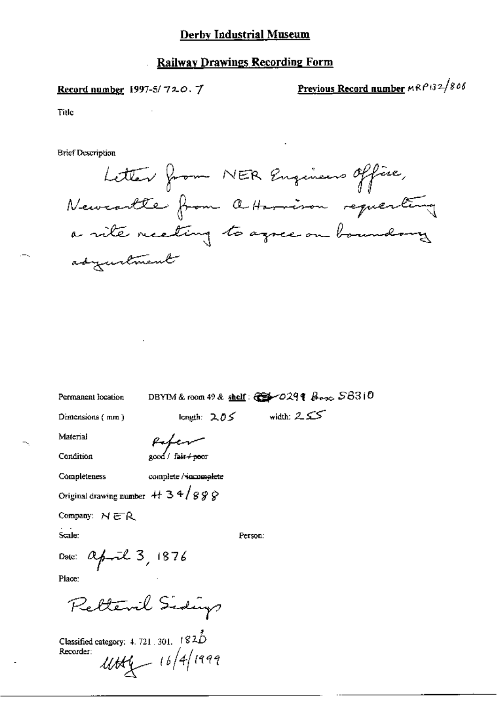#### **Railway Drawings Recording Form**

Record number 1997-5/720.7

Previous Record number MRP132/806

Title

**Brief Description** 

Letter from NER Engineers office, Newcartle from a Harrison requesting a rite recetting to agree on boundary adyustment

Permanent location

DBYIM & room 49 & shelf:  $\mathbb{C}$   $\mathbb{S}$  -029  $\ell$   $\beta$   $\rightarrow$   $\sim$   $S8310$ 

length:  $205$  width:  $255$ 

Dimensions (mm)

Paper

Condition

Material

2000 / fair <del>/ poo</del>r

Completeness complete / incomplete

Original drawing number  $+134/888$ 

Company:  $NER$ 

Scale:

Person:

Date: april 3, 1876

Piace:

Retteril Sidings

Classified category:  $4.721.301.$   $1820$ Recorder:  $4144$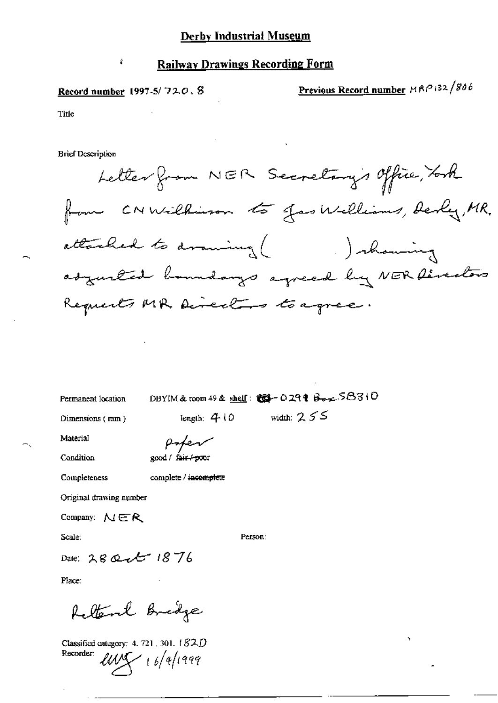#### Record number  $1997-5/720.8$

Ŷ

Previous Record number MRP 132/806

Title

**Brief Description** 

Letter from NER Secretary's Office, Took from CNWilkinson to gas Williams, Derly, MR. attached to drawing ( Johanning adjusted boundarys agreed by NER Directors Requests MR Directors to agree.

Permanent location

DBYIM & toom 49 & shelf: Col-029 t Berg-SB310

Dimensions (mm)

length:  $410$ 

width:  $255$ 

Material

popen good / fair / poor

Condition

Completeness

complete / incomplete

Original drawing number

Company:  $\mathcal{N} \in \mathcal{R}$ 

Scale:

Person:

Date: 28 Qct 1876

Place:

feltent Bridge

Classified category: 4, 721, 301, 182D Recorder:  $l$ UVS  $l + 6/4$ 1999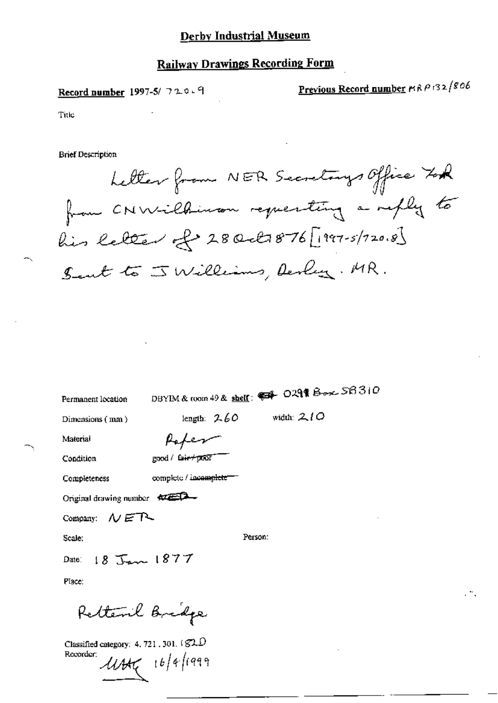### **Railway Drawings Recording Form**

Record number 1997-5/ 720.9

Previous Record number MRP132/806

Title

**Brief Description** 

Letter from NER Secretarys Office Took from CNWilhiman requesting a reply to  $\ell$ is letter of 280 et 876 [1997-5/120.8] Sent to J Williams, Derly. MR.

Permanent location

DBYIM & room 49 & shelf:  $\leftrightarrow$  0291 Boxe 56310

width:  $210$ 

Dimensions (mm)

length:  $2.60$ Paper

Condition

Material

good / fair+poor

Completeness

complete / incomplete

Original drawing number  $\overline{XZ}$ 

Company:  $\mathcal{N}$  ET

Scale:

Person:

 $18.7$   $1877$ Date:

Place:

Rettenl Bridge

Classified category: 4, 721, 301,  $\overline{\$2.0}$ Recorder:

 $4445$  16/4/1999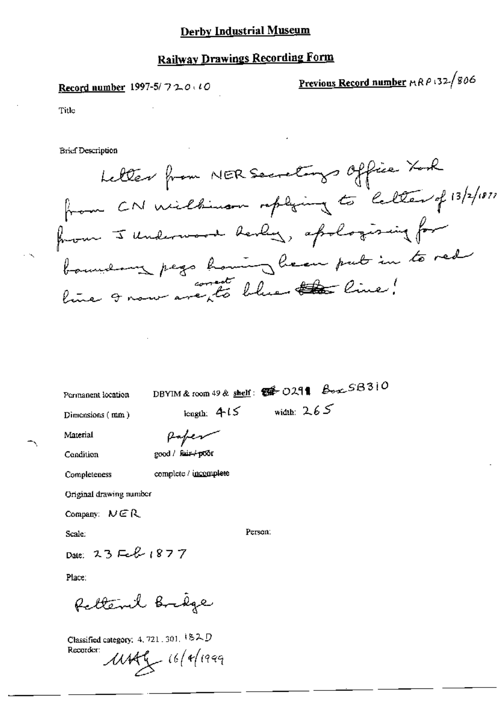## Railway Drawings Recording Form

Record number 1997-5/ 7 2.0  $\cdot$  10  $\cdot$  Previous Record number  $\text{RAP}$  132/806

Title

Bricf Description

fr.<br>F Retter from NER Secretarys Office Xark<br>L, CN Wilbinson replying to letter of 13/2/1877.<br>I Underwood derly, apologising for  $\int_{0}^{\infty}$ boursement page line 9 now are to blue the line!

Permanent location DBYIM & room 49 & shelf:  $\mathcal{B}^+$  O291  $\mathcal{B}_{\text{out}}$  SB310

Dimensions (mm) length.  $4.15$  width:  $2.65$ 

Nlawnal @~/~/

good / fair+poor

**Uniginal drawing number** 

Company:  $N \in \mathbb{R}$ 

Scale. Person

Date: 23 Feb 1877

Place

Rettenil Brige

Completeness complete / incomplete

Classified category. 4, 721  $,301,$   $182D$  $R$ Recorder:  $M$ Afg  $16/9/1999$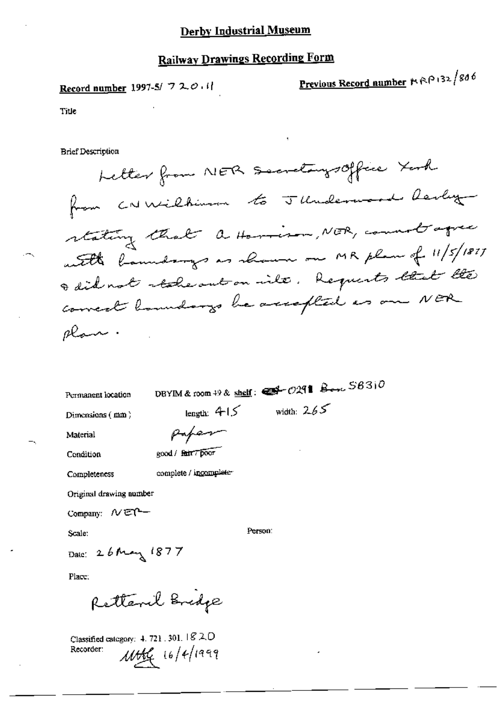### **Railway Drawings Recording Form**

Record number 1997-5/ 720.11

Previous Record number # RP 132/806

Title

**Brief Description** 

Letter from NER Secretarysoffice York from CNWilhimm to JUnderword Revlig stating that a Harrison, NER, count agree with landsongs as shown on MR plan of 11/5/1877 I did not reales out on inte. Requests that the correct boundarys be accepted as one NER olan.

Permanent location

DBYIM & room  $+9$  & shelf:  $\bigoplus$   $-729$  |  $\bigoplus$   $-729$  |  $\bigoplus$   $-563$  |  $0$ 

Dimensions (mm)

width:  $265$ 

Material

Paper

length:  $415$ 

Condition

good / fair 7 poor

Completeness

complete / incomplete-

Original drawing number

Company: NET-

Scale:

Person:

Date: 26 May 1877

Place:

Retteril Bridge

Classified category: 4, 721, 301,  $\sqrt{8}$  2, D 11464 16/4/1999 Recorder: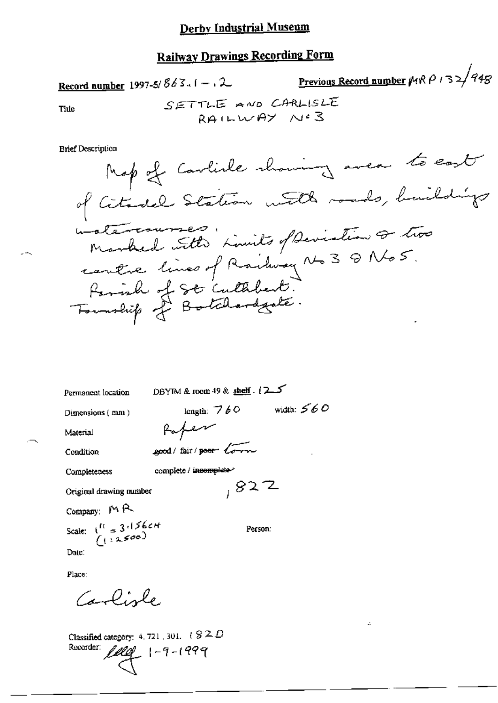Record number 1997-5/863.1 - .2  
True  

$$
S \equiv \top \top \bot \equiv \land \text{vol} \quad \text{CARLISLE}
$$
  
RA!LISLE  
RA!LUSLE

**Brief Description** 

Title

DBYIM & room 49 & shelf. (25 Permanent location length:  $760$  width:  $560$ Dimensions (mm) Poper Material good/fair/peer torn Condition complete / incomplete Completeness  $827$ Original drawing number Company: MR Scale:  $\begin{array}{c} (11, 3, 1)$  Scale:  $(12, 3, 0)$ 

Date:

Place:

Carlisle

Classified category: 4, 721, 301,  $\ell \otimes \mathbb{Z}$   $D$ lelef 1-9-1999 Recorder:

Person:

÷